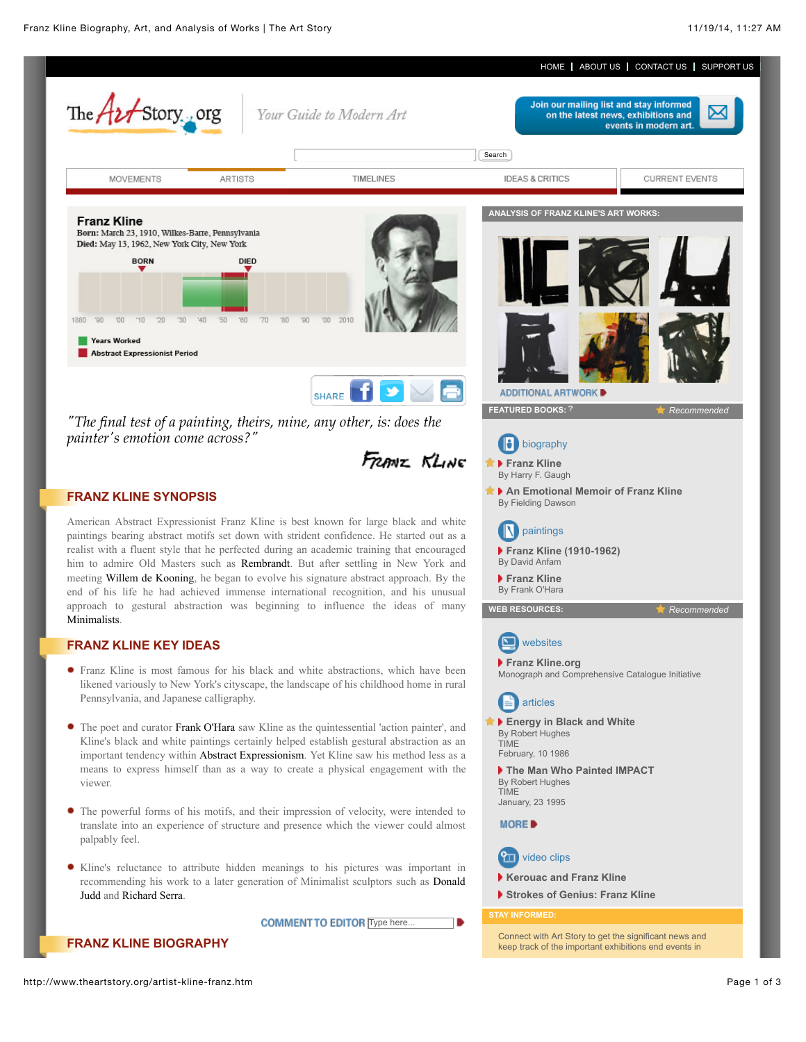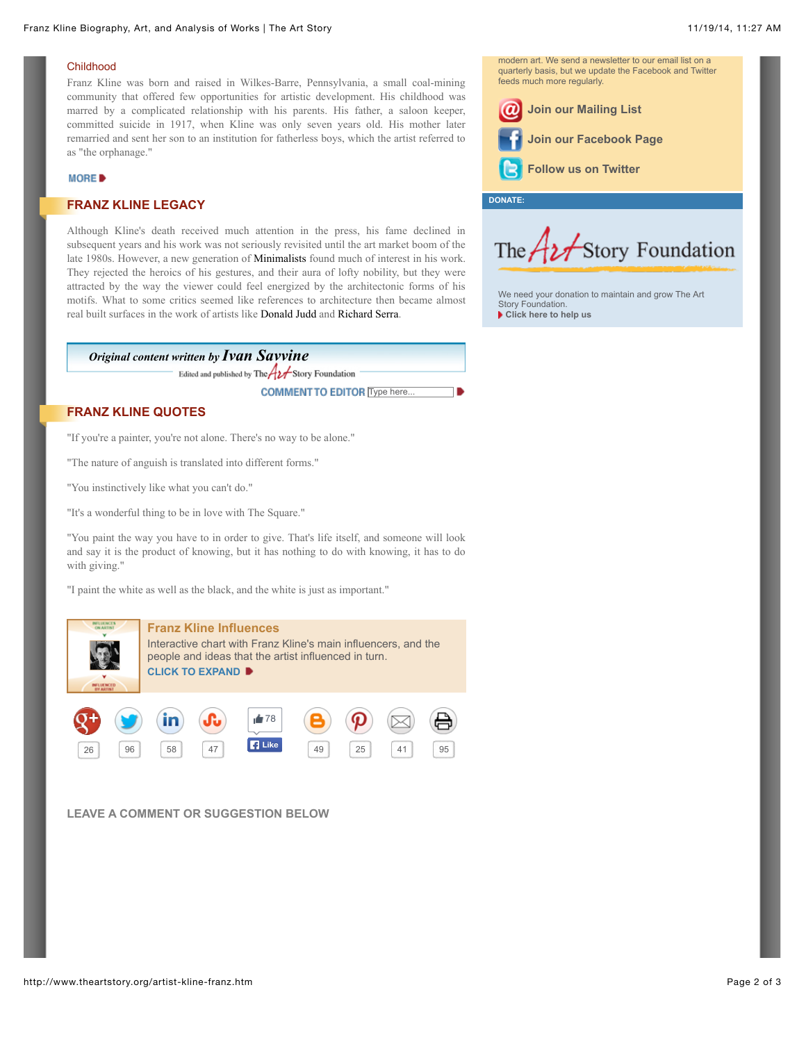#### Childhood

Franz Kline was born and raised in Wilkes-Barre, Pennsylvania, a small coal-mining community that offered few opportunities for artistic development. His childhood was marred by a complicated relationship with his parents. His father, a saloon keeper, committed suicide in 1917, when Kline was only seven years old. His mother later remarried and sent her son to an institution for fatherless boys, which the artist referred to as "the orphanage."

#### **MORE**

### **FRANZ KLINE LEGACY**

Although Kline's death received much attention in the press, his fame declined in subsequent years and his work was not seriously revisited until the art market boom of the late 1980s. However, a new generation of Minimalists found much of interest in his work. They rejected the heroics of his gestures, and their aura of lofty nobility, but they were attracted by the way the viewer could feel energized by the architectonic forms of his motifs. What to some critics seemed like references to architecture then became almost real built surfaces in the work of artists like Donald Judd and Richard Serra.

# *Original content written by [Ivan Savvine](http://www.theartstory.org/about_us.htm#savvine)*

Edited and published by The  $A$  Story Foundation

**COMMENT TO EDITOR** Type here...

## **FRANZ KLINE QUOTES**

"If you're a painter, you're not alone. There's no way to be alone."

"The nature of anguish is translated into different forms."

"You instinctively like what you can't do."

"It's a wonderful thing to be in love with The Square."

"You paint the way you have to in order to give. That's life itself, and someone will look and say it is the product of knowing, but it has nothing to do with knowing, it has to do with giving."

"I paint the white as well as the black, and the white is just as important."



**LEAVE A COMMENT OR SUGGESTION BELOW**

quarterly basis, but we update the Facebook and Twitter feeds much more regularly. **[Join our Mailing List](http://www.theartstory.org/contact_mailing_list.htm) [Join our Facebook Page](http://www.facebook.com/TheArtStory) [Follow us on Twitter](http://twitter.com/TheArtStory) DONATE:**

modern art. We send a newsletter to our email list on a

The  $A$ **z** Story Foundation

[We need your donation to maintain and grow The Art](http://www.theartstory.org/donate.htm) Story Foundation. **[Click here to help us](http://www.theartstory.org/donate.htm)**